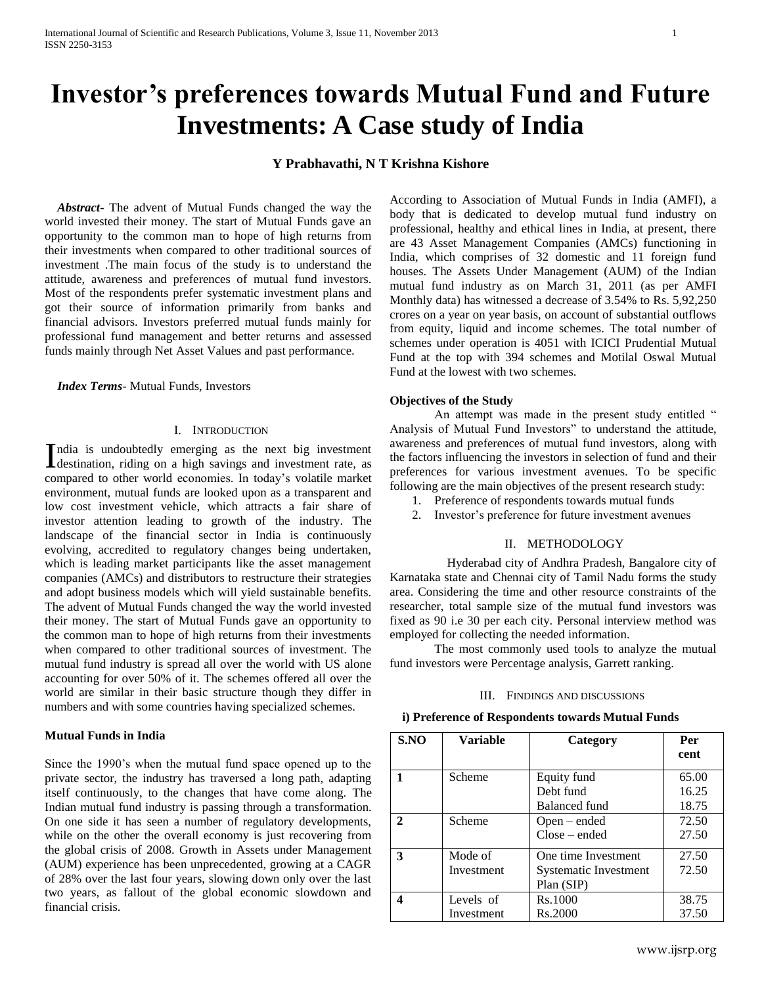# **Investor's preferences towards Mutual Fund and Future Investments: A Case study of India**

# **Y Prabhavathi, N T Krishna Kishore**

 *Abstract***-** The advent of Mutual Funds changed the way the world invested their money. The start of Mutual Funds gave an opportunity to the common man to hope of high returns from their investments when compared to other traditional sources of investment .The main focus of the study is to understand the attitude, awareness and preferences of mutual fund investors. Most of the respondents prefer systematic investment plans and got their source of information primarily from banks and financial advisors. Investors preferred mutual funds mainly for professional fund management and better returns and assessed funds mainly through Net Asset Values and past performance.

 *Index Terms*- Mutual Funds, Investors

# I. INTRODUCTION

ndia is undoubtedly emerging as the next big investment India is undoubtedly emerging as the next big investment rate, as destination, riding on a high savings and investment rate, as compared to other world economies. In today's volatile market environment, mutual funds are looked upon as a transparent and low cost investment vehicle, which attracts a fair share of investor attention leading to growth of the industry. The landscape of the financial sector in India is continuously evolving, accredited to regulatory changes being undertaken, which is leading market participants like the asset management companies (AMCs) and distributors to restructure their strategies and adopt business models which will yield sustainable benefits. The advent of Mutual Funds changed the way the world invested their money. The start of Mutual Funds gave an opportunity to the common man to hope of high returns from their investments when compared to other traditional sources of investment. The mutual fund industry is spread all over the world with US alone accounting for over 50% of it. The schemes offered all over the world are similar in their basic structure though they differ in numbers and with some countries having specialized schemes.

#### **Mutual Funds in India**

Since the 1990's when the mutual fund space opened up to the private sector, the industry has traversed a long path, adapting itself continuously, to the changes that have come along. The Indian mutual fund industry is passing through a transformation. On one side it has seen a number of regulatory developments, while on the other the overall economy is just recovering from the global crisis of 2008. Growth in Assets under Management (AUM) experience has been unprecedented, growing at a CAGR of 28% over the last four years, slowing down only over the last two years, as fallout of the global economic slowdown and financial crisis.

According to Association of Mutual Funds in India (AMFI), a body that is dedicated to develop mutual fund industry on professional, healthy and ethical lines in India, at present, there are 43 Asset Management Companies (AMCs) functioning in India, which comprises of 32 domestic and 11 foreign fund houses. The Assets Under Management (AUM) of the Indian mutual fund industry as on March 31, 2011 (as per AMFI Monthly data) has witnessed a decrease of 3.54% to Rs. 5,92,250 crores on a year on year basis, on account of substantial outflows from equity, liquid and income schemes. The total number of schemes under operation is 4051 with ICICI Prudential Mutual Fund at the top with 394 schemes and Motilal Oswal Mutual Fund at the lowest with two schemes.

#### **Objectives of the Study**

An attempt was made in the present study entitled " Analysis of Mutual Fund Investors" to understand the attitude, awareness and preferences of mutual fund investors, along with the factors influencing the investors in selection of fund and their preferences for various investment avenues. To be specific following are the main objectives of the present research study:

- 1. Preference of respondents towards mutual funds
- 2. Investor's preference for future investment avenues

#### II. METHODOLOGY

 Hyderabad city of Andhra Pradesh, Bangalore city of Karnataka state and Chennai city of Tamil Nadu forms the study area. Considering the time and other resource constraints of the researcher, total sample size of the mutual fund investors was fixed as 90 i.e 30 per each city. Personal interview method was employed for collecting the needed information.

The most commonly used tools to analyze the mutual fund investors were Percentage analysis, Garrett ranking.

### III. FINDINGS AND DISCUSSIONS

| i) Preference of Respondents towards Mutual Funds |  |  |
|---------------------------------------------------|--|--|
|                                                   |  |  |

| S.NO                  | <b>Variable</b>         | Category                                                   | Per<br>cent             |
|-----------------------|-------------------------|------------------------------------------------------------|-------------------------|
|                       | Scheme                  | Equity fund<br>Debt fund<br><b>Balanced fund</b>           | 65.00<br>16.25<br>18.75 |
| $\mathcal{D}_{\cdot}$ | Scheme                  | $Open - ended$<br>$Close - ended$                          | 72.50<br>27.50          |
| 3                     | Mode of<br>Investment   | One time Investment<br>Systematic Investment<br>Plan (SIP) | 27.50<br>72.50          |
|                       | Levels of<br>Investment | Rs.1000<br>Rs.2000                                         | 38.75<br>37.50          |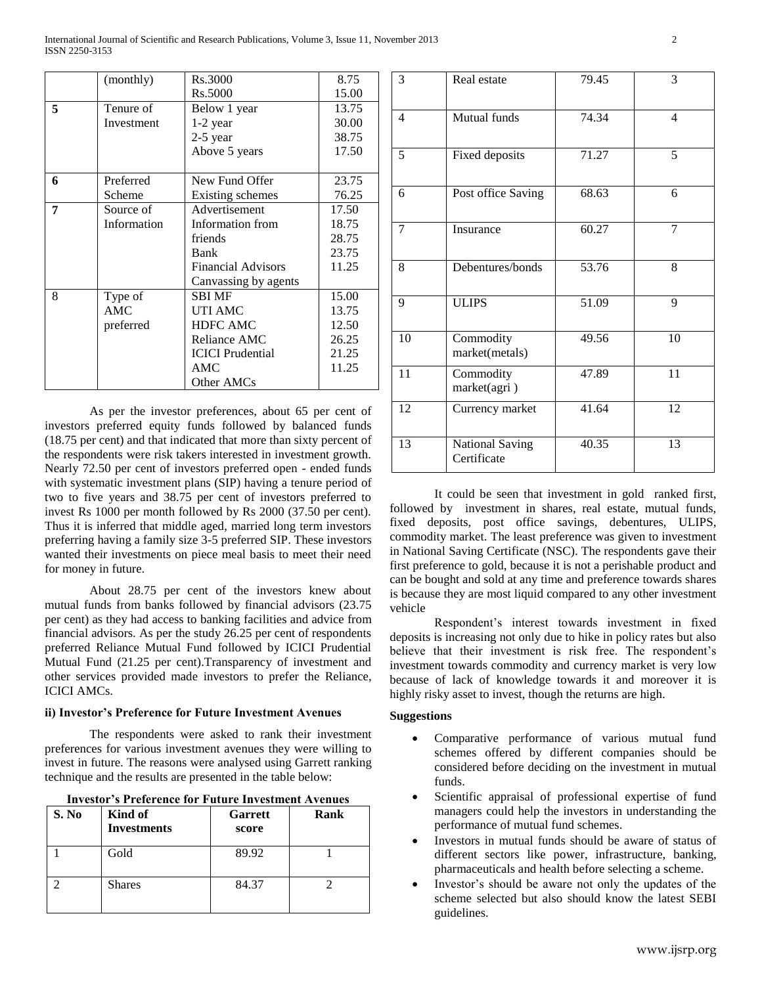International Journal of Scientific and Research Publications, Volume 3, Issue 11, November 2013 2 ISSN 2250-3153

|   | (monthly)   | Rs.3000                   | 8.75  |
|---|-------------|---------------------------|-------|
|   |             | Rs.5000                   | 15.00 |
| 5 | Tenure of   | Below 1 year              | 13.75 |
|   | Investment  | 1-2 year                  | 30.00 |
|   |             | $2-5$ year                | 38.75 |
|   |             | Above 5 years             | 17.50 |
|   |             |                           |       |
| 6 | Preferred   | New Fund Offer            | 23.75 |
|   | Scheme      | Existing schemes          | 76.25 |
| 7 | Source of   | Advertisement             | 17.50 |
|   | Information | Information from          | 18.75 |
|   |             | friends                   | 28.75 |
|   |             | Bank                      | 23.75 |
|   |             | <b>Financial Advisors</b> | 11.25 |
|   |             | Canvassing by agents      |       |
| 8 | Type of     | <b>SBI MF</b>             | 15.00 |
|   | <b>AMC</b>  | UTI AMC                   | 13.75 |
|   | preferred   | <b>HDFC AMC</b>           | 12.50 |
|   |             | Reliance AMC              | 26.25 |
|   |             | <b>ICICI</b> Prudential   | 21.25 |
|   |             | AMC                       | 11.25 |
|   |             | Other AMCs                |       |

As per the investor preferences, about 65 per cent of investors preferred equity funds followed by balanced funds (18.75 per cent) and that indicated that more than sixty percent of the respondents were risk takers interested in investment growth. Nearly 72.50 per cent of investors preferred open - ended funds with systematic investment plans (SIP) having a tenure period of two to five years and 38.75 per cent of investors preferred to invest Rs 1000 per month followed by Rs 2000 (37.50 per cent). Thus it is inferred that middle aged, married long term investors preferring having a family size 3-5 preferred SIP. These investors wanted their investments on piece meal basis to meet their need for money in future.

About 28.75 per cent of the investors knew about mutual funds from banks followed by financial advisors (23.75 per cent) as they had access to banking facilities and advice from financial advisors. As per the study 26.25 per cent of respondents preferred Reliance Mutual Fund followed by ICICI Prudential Mutual Fund (21.25 per cent).Transparency of investment and other services provided made investors to prefer the Reliance, ICICI AMCs.

#### **ii) Investor's Preference for Future Investment Avenues**

The respondents were asked to rank their investment preferences for various investment avenues they were willing to invest in future. The reasons were analysed using Garrett ranking technique and the results are presented in the table below:

| <b>Investor's Preference for Future Investment Avenues</b> |                               |                         |      |  |
|------------------------------------------------------------|-------------------------------|-------------------------|------|--|
| S. No                                                      | Kind of<br><b>Investments</b> | <b>Garrett</b><br>score | Rank |  |
|                                                            | Gold                          | 89.92                   |      |  |
|                                                            | <b>Shares</b>                 | 84.37                   |      |  |

| 3              | Real estate                           | 79.45 | 3               |
|----------------|---------------------------------------|-------|-----------------|
| $\overline{4}$ | Mutual funds                          | 74.34 | $\overline{4}$  |
| 5              | Fixed deposits                        | 71.27 | 5               |
| 6              | Post office Saving                    | 68.63 | 6               |
| 7              | Insurance                             | 60.27 | 7               |
| 8              | Debentures/bonds                      | 53.76 | 8               |
| 9              | <b>ULIPS</b>                          | 51.09 | 9               |
| 10             | Commodity<br>market(metals)           | 49.56 | $\overline{10}$ |
| 11             | Commodity<br>market(agri)             | 47.89 | 11              |
| 12             | Currency market                       | 41.64 | 12              |
| 13             | <b>National Saving</b><br>Certificate | 40.35 | 13              |

It could be seen that investment in gold ranked first, followed by investment in shares, real estate, mutual funds, fixed deposits, post office savings, debentures, ULIPS, commodity market. The least preference was given to investment in National Saving Certificate (NSC). The respondents gave their first preference to gold, because it is not a perishable product and can be bought and sold at any time and preference towards shares is because they are most liquid compared to any other investment vehicle

Respondent's interest towards investment in fixed deposits is increasing not only due to hike in policy rates but also believe that their investment is risk free. The respondent's investment towards commodity and currency market is very low because of lack of knowledge towards it and moreover it is highly risky asset to invest, though the returns are high.

## **Suggestions**

- Comparative performance of various mutual fund schemes offered by different companies should be considered before deciding on the investment in mutual funds.
- Scientific appraisal of professional expertise of fund managers could help the investors in understanding the performance of mutual fund schemes.
- Investors in mutual funds should be aware of status of different sectors like power, infrastructure, banking, pharmaceuticals and health before selecting a scheme.
- Investor's should be aware not only the updates of the scheme selected but also should know the latest SEBI guidelines.